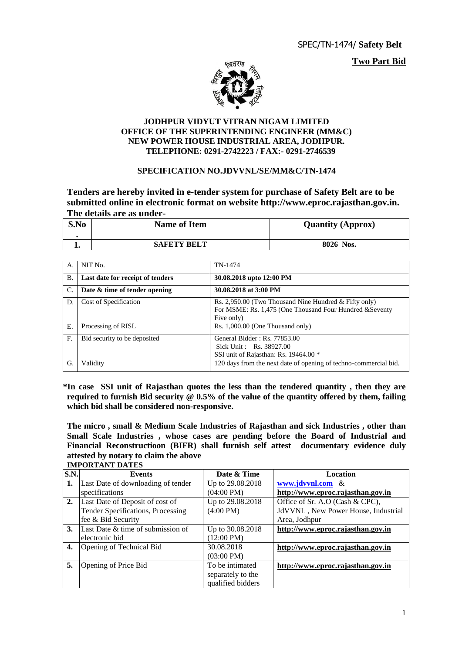**Two Part Bid**



#### **JODHPUR VIDYUT VITRAN NIGAM LIMITED OFFICE OF THE SUPERINTENDING ENGINEER (MM&C) NEW POWER HOUSE INDUSTRIAL AREA, JODHPUR. TELEPHONE: 0291-2742223 / FAX:- 0291-2746539**

#### **SPECIFICATION NO.JDVVNL/SE/MM&C/TN-1474**

**Tenders are hereby invited in e-tender system for purchase of Safety Belt are to be submitted online in electronic format on website http://www.eproc.rajasthan.gov.in. The details are as under-**

| S.No | <b>Name of Item</b> | <b>Quantity (Approx)</b> |
|------|---------------------|--------------------------|
|      | <b>SAFETY BELT</b>  | 8026 Nos.                |

| А.        | NIT No.                          | TN-1474                                                                                                                           |
|-----------|----------------------------------|-----------------------------------------------------------------------------------------------------------------------------------|
| <b>B.</b> | Last date for receipt of tenders | 30.08.2018 upto 12:00 PM                                                                                                          |
| C.        | Date & time of tender opening    | 30.08.2018 at 3:00 PM                                                                                                             |
| D.        | Cost of Specification            | Rs. 2,950.00 (Two Thousand Nine Hundred $&$ Fifty only)<br>For MSME: Rs. 1,475 (One Thousand Four Hundred & Seventy<br>Five only) |
| Е.        | Processing of RISL               | Rs. 1,000.00 (One Thousand only)                                                                                                  |
| F.        | Bid security to be deposited     | General Bidder: Rs. 77853.00<br>Sick Unit: Rs. 38927.00<br>SSI unit of Rajasthan: Rs. 19464.00 *                                  |
| G.        | Validity                         | 120 days from the next date of opening of techno-commercial bid.                                                                  |

 **\*In case SSI unit of Rajasthan quotes the less than the tendered quantity , then they are required to furnish Bid security @ 0.5% of the value of the quantity offered by them, failing which bid shall be considered non-responsive.**

**The micro , small & Medium Scale Industries of Rajasthan and sick Industries , other than Small Scale Industries , whose cases are pending before the Board of Industrial and Financial Reconstructioon (BIFR) shall furnish self attest documentary evidence duly attested by notary to claim the above IMPORTANT DATES**

**S.N. Events Date & Time Location 1.** Last Date of downloading of tender specifications Up to 29.08.2018 (04:00 PM) **[www.jdvvnl.com](http://www.jdvvnl.com/)** & **http://www.eproc.rajasthan.gov.in 2.** Last Date of Deposit of cost of Tender Specifications, Processing fee & Bid Security Up to 29.08.2018 (4:00 PM) Office of Sr. A.O (Cash & CPC), JdVVNL , New Power House, Industrial Area, Jodhpur **3.** Last Date & time of submission of electronic bid Up to 30.08.2018 (12:00 PM) **http://www.eproc.rajasthan.gov.in 4.** Opening of Technical Bid 30.08.2018  $(03:00 \text{ PM})$ <br>To be intimated **http://www.eproc.rajasthan.gov.in 5.** Opening of Price Bid separately to the qualified bidders **http://www.eproc.rajasthan.gov.in**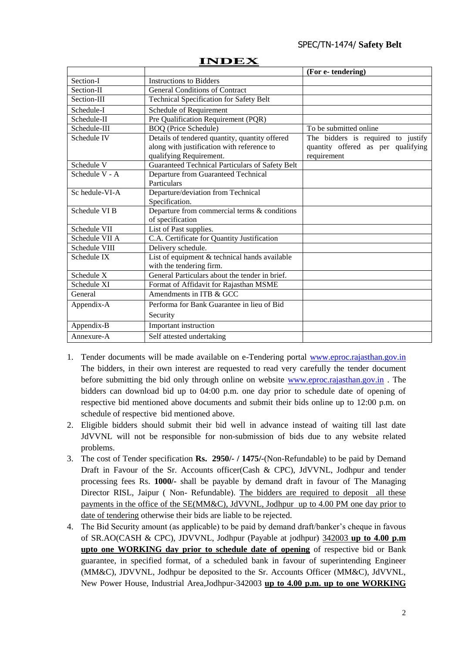#### SPEC/TN-1474/ **Safety Belt**

|                |                                                 | (For e-tendering)                  |
|----------------|-------------------------------------------------|------------------------------------|
| Section-I      | <b>Instructions to Bidders</b>                  |                                    |
| Section-II     | <b>General Conditions of Contract</b>           |                                    |
| Section-III    | <b>Technical Specification for Safety Belt</b>  |                                    |
| Schedule-I     | Schedule of Requirement                         |                                    |
| Schedule-II    | Pre Qualification Requirement (PQR)             |                                    |
| Schedule-III   | <b>BOQ</b> (Price Schedule)                     | To be submitted online             |
| Schedule IV    | Details of tendered quantity, quantity offered  | The bidders is required to justify |
|                | along with justification with reference to      | quantity offered as per qualifying |
|                | qualifying Requirement.                         | requirement                        |
| Schedule V     | Guaranteed Technical Particulars of Safety Belt |                                    |
| Schedule V - A | Departure from Guaranteed Technical             |                                    |
|                | Particulars                                     |                                    |
| Sc hedule-VI-A | Departure/deviation from Technical              |                                    |
|                | Specification.                                  |                                    |
| Schedule VI B  | Departure from commercial terms & conditions    |                                    |
|                | of specification                                |                                    |
| Schedule VII   | List of Past supplies.                          |                                    |
| Schedule VII A | C.A. Certificate for Quantity Justification     |                                    |
| Schedule VIII  | Delivery schedule.                              |                                    |
| Schedule IX    | List of equipment & technical hands available   |                                    |
|                | with the tendering firm.                        |                                    |
| Schedule X     | General Particulars about the tender in brief.  |                                    |
| Schedule XI    | Format of Affidavit for Rajasthan MSME          |                                    |
| General        | Amendments in ITB & GCC                         |                                    |
| Appendix-A     | Performa for Bank Guarantee in lieu of Bid      |                                    |
|                | Security                                        |                                    |
| Appendix-B     | Important instruction                           |                                    |
| Annexure-A     | Self attested undertaking                       |                                    |

#### **INDEX**

- 1. Tender documents will be made available on e-Tendering portal [www.eproc.rajasthan.gov.in](http://www.eproc.rajasthan.gov.in/)  The bidders, in their own interest are requested to read very carefully the tender document before submitting the bid only through online on website [www.eproc.rajasthan.gov.in](http://www.eproc.rajasthan.gov.in/) . The bidders can download bid up to 04:00 p.m. one day prior to schedule date of opening of respective bid mentioned above documents and submit their bids online up to 12:00 p.m. on schedule of respective bid mentioned above.
- 2. Eligible bidders should submit their bid well in advance instead of waiting till last date JdVVNL will not be responsible for non-submission of bids due to any website related problems.
- 3. The cost of Tender specification **Rs. 2950/- / 1475/-**(Non-Refundable) to be paid by Demand Draft in Favour of the Sr. Accounts officer(Cash & CPC), JdVVNL, Jodhpur and tender processing fees Rs. **1000/-** shall be payable by demand draft in favour of The Managing Director RISL, Jaipur ( Non- Refundable). The bidders are required to deposit all these payments in the office of the SE(MM&C), JdVVNL, Jodhpur up to 4.00 PM one day prior to date of tendering otherwise their bids are liable to be rejected.
- 4. The Bid Security amount (as applicable) to be paid by demand draft/banker"s cheque in favous of SR.AO(CASH & CPC), JDVVNL, Jodhpur (Payable at jodhpur) 342003 **up to 4.00 p.m upto one WORKING day prior to schedule date of opening** of respective bid or Bank guarantee, in specified format, of a scheduled bank in favour of superintending Engineer (MM&C), JDVVNL, Jodhpur be deposited to the Sr. Accounts Officer (MM&C), JdVVNL, New Power House, Industrial Area,Jodhpur-342003 **up to 4.00 p.m. up to one WORKING**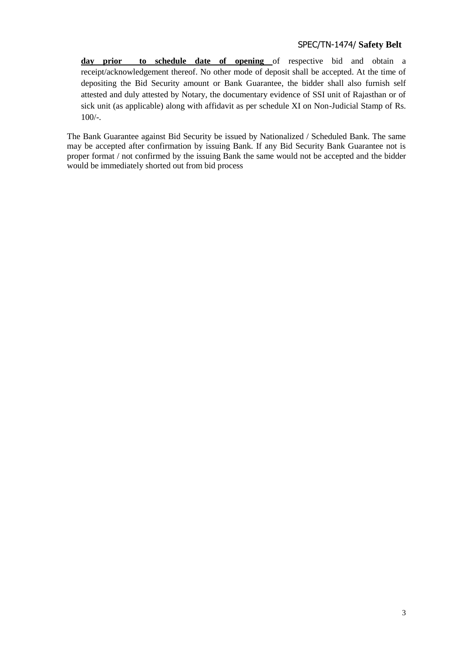**day prior to schedule date of opening** of respective bid and obtain a receipt/acknowledgement thereof. No other mode of deposit shall be accepted. At the time of depositing the Bid Security amount or Bank Guarantee, the bidder shall also furnish self attested and duly attested by Notary, the documentary evidence of SSI unit of Rajasthan or of sick unit (as applicable) along with affidavit as per schedule XI on Non-Judicial Stamp of Rs. 100/-.

The Bank Guarantee against Bid Security be issued by Nationalized / Scheduled Bank. The same may be accepted after confirmation by issuing Bank. If any Bid Security Bank Guarantee not is proper format / not confirmed by the issuing Bank the same would not be accepted and the bidder would be immediately shorted out from bid process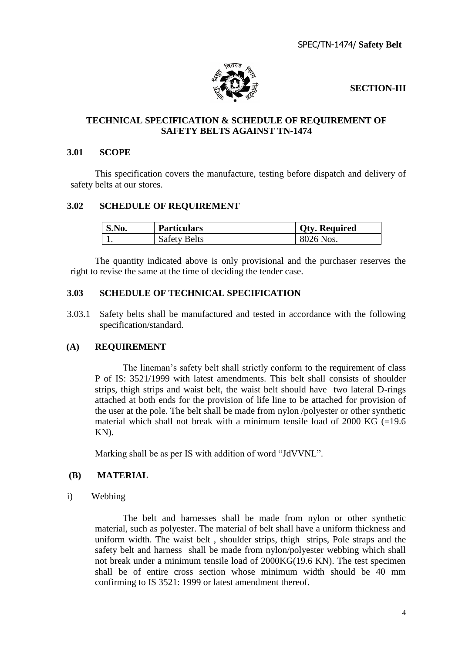SPEC/TN-1474/ **Safety Belt**



## **SECTION-III**

## **TECHNICAL SPECIFICATION & SCHEDULE OF REQUIREMENT OF SAFETY BELTS AGAINST TN-1474**

#### **3.01 SCOPE**

This specification covers the manufacture, testing before dispatch and delivery of safety belts at our stores.

#### **3.02 SCHEDULE OF REQUIREMENT**

| S.No. | <b>Particulars</b>  | <b>Qty. Required</b> |
|-------|---------------------|----------------------|
|       | <b>Safety Belts</b> | 8026 Nos.            |

The quantity indicated above is only provisional and the purchaser reserves the right to revise the same at the time of deciding the tender case.

## **3.03 SCHEDULE OF TECHNICAL SPECIFICATION**

3.03.1 Safety belts shall be manufactured and tested in accordance with the following specification/standard.

## **(A) REQUIREMENT**

The lineman"s safety belt shall strictly conform to the requirement of class P of IS: 3521/1999 with latest amendments. This belt shall consists of shoulder strips, thigh strips and waist belt, the waist belt should have two lateral D-rings attached at both ends for the provision of life line to be attached for provision of the user at the pole. The belt shall be made from nylon /polyester or other synthetic material which shall not break with a minimum tensile load of  $2000$  KG (=19.6) KN).

Marking shall be as per IS with addition of word "JdVVNL".

#### **(B) MATERIAL**

i) Webbing

The belt and harnesses shall be made from nylon or other synthetic material, such as polyester. The material of belt shall have a uniform thickness and uniform width. The waist belt , shoulder strips, thigh strips, Pole straps and the safety belt and harness shall be made from nylon/polyester webbing which shall not break under a minimum tensile load of 2000KG(19.6 KN). The test specimen shall be of entire cross section whose minimum width should be 40 mm confirming to IS 3521: 1999 or latest amendment thereof.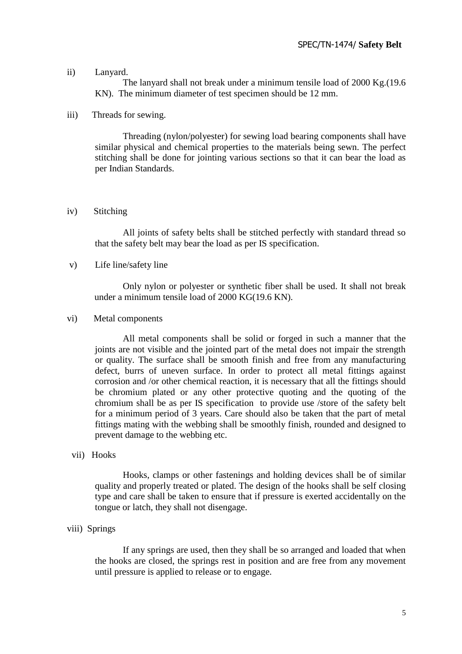#### ii) Lanyard.

The lanyard shall not break under a minimum tensile load of 2000 Kg.(19.6 KN). The minimum diameter of test specimen should be 12 mm.

#### iii) Threads for sewing.

 Threading (nylon/polyester) for sewing load bearing components shall have similar physical and chemical properties to the materials being sewn. The perfect stitching shall be done for jointing various sections so that it can bear the load as per Indian Standards.

#### iv) Stitching

All joints of safety belts shall be stitched perfectly with standard thread so that the safety belt may bear the load as per IS specification.

#### v) Life line/safety line

Only nylon or polyester or synthetic fiber shall be used. It shall not break under a minimum tensile load of 2000 KG(19.6 KN).

#### vi) Metal components

 All metal components shall be solid or forged in such a manner that the joints are not visible and the jointed part of the metal does not impair the strength or quality. The surface shall be smooth finish and free from any manufacturing defect, burrs of uneven surface. In order to protect all metal fittings against corrosion and /or other chemical reaction, it is necessary that all the fittings should be chromium plated or any other protective quoting and the quoting of the chromium shall be as per IS specification to provide use /store of the safety belt for a minimum period of 3 years. Care should also be taken that the part of metal fittings mating with the webbing shall be smoothly finish, rounded and designed to prevent damage to the webbing etc.

#### vii) Hooks

Hooks, clamps or other fastenings and holding devices shall be of similar quality and properly treated or plated. The design of the hooks shall be self closing type and care shall be taken to ensure that if pressure is exerted accidentally on the tongue or latch, they shall not disengage.

#### viii) Springs

If any springs are used, then they shall be so arranged and loaded that when the hooks are closed, the springs rest in position and are free from any movement until pressure is applied to release or to engage.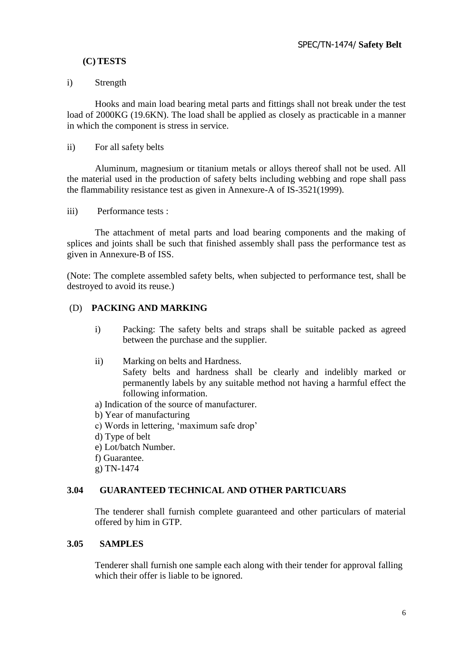## **(C) TESTS**

## i) Strength

Hooks and main load bearing metal parts and fittings shall not break under the test load of 2000KG (19.6KN). The load shall be applied as closely as practicable in a manner in which the component is stress in service.

#### ii) For all safety belts

Aluminum, magnesium or titanium metals or alloys thereof shall not be used. All the material used in the production of safety belts including webbing and rope shall pass the flammability resistance test as given in Annexure-A of IS-3521(1999).

iii) Performance tests :

The attachment of metal parts and load bearing components and the making of splices and joints shall be such that finished assembly shall pass the performance test as given in Annexure-B of ISS.

(Note: The complete assembled safety belts, when subjected to performance test, shall be destroyed to avoid its reuse.)

## (D) **PACKING AND MARKING**

- i) Packing: The safety belts and straps shall be suitable packed as agreed between the purchase and the supplier.
- ii) Marking on belts and Hardness. Safety belts and hardness shall be clearly and indelibly marked or permanently labels by any suitable method not having a harmful effect the following information.
- a) Indication of the source of manufacturer.
- b) Year of manufacturing
- c) Words in lettering, "maximum safe drop"
- d) Type of belt
- e) Lot/batch Number.
- f) Guarantee.
- g) TN-1474

## **3.04 GUARANTEED TECHNICAL AND OTHER PARTICUARS**

The tenderer shall furnish complete guaranteed and other particulars of material offered by him in GTP.

#### **3.05 SAMPLES**

Tenderer shall furnish one sample each along with their tender for approval falling which their offer is liable to be ignored.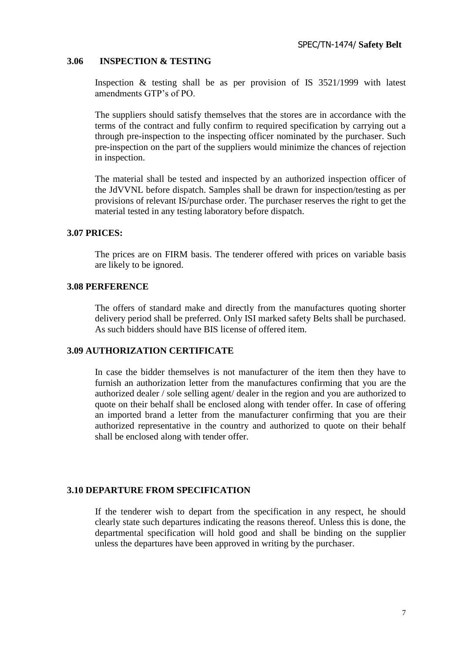#### **3.06 INSPECTION & TESTING**

Inspection & testing shall be as per provision of IS 3521/1999 with latest amendments GTP"s of PO.

The suppliers should satisfy themselves that the stores are in accordance with the terms of the contract and fully confirm to required specification by carrying out a through pre-inspection to the inspecting officer nominated by the purchaser. Such pre-inspection on the part of the suppliers would minimize the chances of rejection in inspection.

The material shall be tested and inspected by an authorized inspection officer of the JdVVNL before dispatch. Samples shall be drawn for inspection/testing as per provisions of relevant IS/purchase order. The purchaser reserves the right to get the material tested in any testing laboratory before dispatch.

#### **3.07 PRICES:**

The prices are on FIRM basis. The tenderer offered with prices on variable basis are likely to be ignored.

#### **3.08 PERFERENCE**

The offers of standard make and directly from the manufactures quoting shorter delivery period shall be preferred. Only ISI marked safety Belts shall be purchased. As such bidders should have BIS license of offered item.

#### **3.09 AUTHORIZATION CERTIFICATE**

In case the bidder themselves is not manufacturer of the item then they have to furnish an authorization letter from the manufactures confirming that you are the authorized dealer / sole selling agent/ dealer in the region and you are authorized to quote on their behalf shall be enclosed along with tender offer. In case of offering an imported brand a letter from the manufacturer confirming that you are their authorized representative in the country and authorized to quote on their behalf shall be enclosed along with tender offer.

#### **3.10 DEPARTURE FROM SPECIFICATION**

 If the tenderer wish to depart from the specification in any respect, he should clearly state such departures indicating the reasons thereof. Unless this is done, the departmental specification will hold good and shall be binding on the supplier unless the departures have been approved in writing by the purchaser.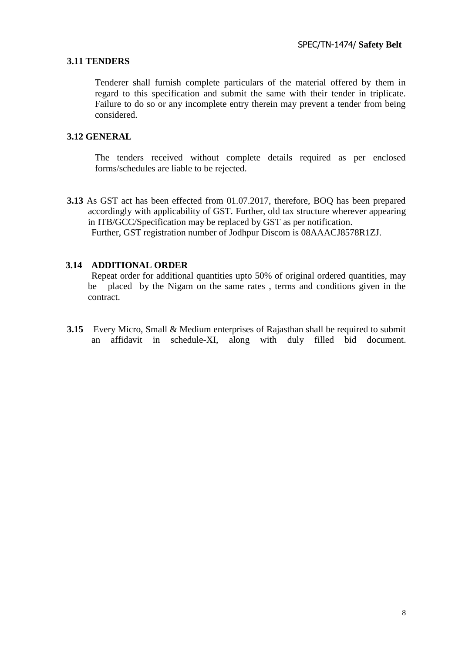#### **3.11 TENDERS**

Tenderer shall furnish complete particulars of the material offered by them in regard to this specification and submit the same with their tender in triplicate. Failure to do so or any incomplete entry therein may prevent a tender from being considered.

#### **3.12 GENERAL**

The tenders received without complete details required as per enclosed forms/schedules are liable to be rejected.

**3.13** As GST act has been effected from 01.07.2017, therefore, BOQ has been prepared accordingly with applicability of GST. Further, old tax structure wherever appearing in ITB/GCC/Specification may be replaced by GST as per notification. Further, GST registration number of Jodhpur Discom is 08AAACJ8578R1ZJ.

#### **3.14 ADDITIONAL ORDER**

 Repeat order for additional quantities upto 50% of original ordered quantities, may be placed by the Nigam on the same rates , terms and conditions given in the contract.

**3.15** Every Micro, Small & Medium enterprises of Rajasthan shall be required to submit an affidavit in schedule-XI, along with duly filled bid document.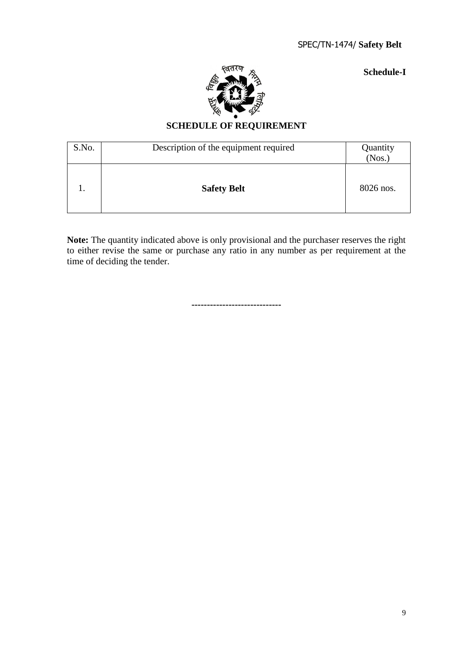**Schedule-I**



## **SCHEDULE OF REQUIREMENT**

| S.No. | Description of the equipment required | Quantity<br>(Nos.) |
|-------|---------------------------------------|--------------------|
|       | <b>Safety Belt</b>                    | 8026 nos.          |

**Note:** The quantity indicated above is only provisional and the purchaser reserves the right to either revise the same or purchase any ratio in any number as per requirement at the time of deciding the tender.

**-----------------------------**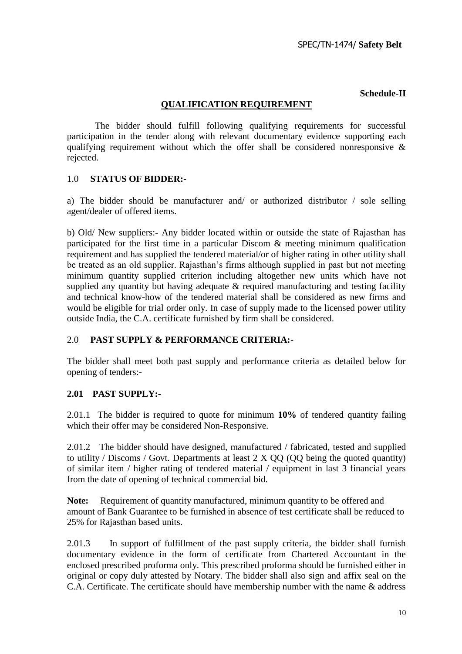#### **Schedule-II**

## **QUALIFICATION REQUIREMENT**

The bidder should fulfill following qualifying requirements for successful participation in the tender along with relevant documentary evidence supporting each qualifying requirement without which the offer shall be considered nonresponsive & rejected.

#### 1.0 **STATUS OF BIDDER:-**

a) The bidder should be manufacturer and/ or authorized distributor / sole selling agent/dealer of offered items.

b) Old/ New suppliers:- Any bidder located within or outside the state of Rajasthan has participated for the first time in a particular Discom & meeting minimum qualification requirement and has supplied the tendered material/or of higher rating in other utility shall be treated as an old supplier. Rajasthan"s firms although supplied in past but not meeting minimum quantity supplied criterion including altogether new units which have not supplied any quantity but having adequate & required manufacturing and testing facility and technical know-how of the tendered material shall be considered as new firms and would be eligible for trial order only. In case of supply made to the licensed power utility outside India, the C.A. certificate furnished by firm shall be considered.

## 2.0 **PAST SUPPLY & PERFORMANCE CRITERIA:**-

The bidder shall meet both past supply and performance criteria as detailed below for opening of tenders:-

## **2.01 PAST SUPPLY:-**

2.01.1 The bidder is required to quote for minimum **10%** of tendered quantity failing which their offer may be considered Non-Responsive.

2.01.2 The bidder should have designed, manufactured / fabricated, tested and supplied to utility / Discoms / Govt. Departments at least  $2 \times 00$  (OO being the quoted quantity) of similar item / higher rating of tendered material / equipment in last 3 financial years from the date of opening of technical commercial bid.

**Note:** Requirement of quantity manufactured, minimum quantity to be offered and amount of Bank Guarantee to be furnished in absence of test certificate shall be reduced to 25% for Rajasthan based units.

2.01.3 In support of fulfillment of the past supply criteria, the bidder shall furnish documentary evidence in the form of certificate from Chartered Accountant in the enclosed prescribed proforma only. This prescribed proforma should be furnished either in original or copy duly attested by Notary. The bidder shall also sign and affix seal on the C.A. Certificate. The certificate should have membership number with the name & address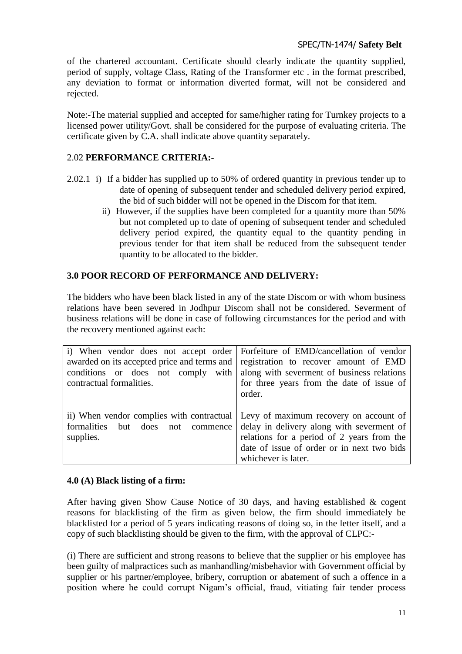of the chartered accountant. Certificate should clearly indicate the quantity supplied, period of supply, voltage Class, Rating of the Transformer etc . in the format prescribed, any deviation to format or information diverted format, will not be considered and rejected.

Note:-The material supplied and accepted for same/higher rating for Turnkey projects to a licensed power utility/Govt. shall be considered for the purpose of evaluating criteria. The certificate given by C.A. shall indicate above quantity separately.

## 2.02 **PERFORMANCE CRITERIA:-**

- 2.02.1 i) If a bidder has supplied up to 50% of ordered quantity in previous tender up to date of opening of subsequent tender and scheduled delivery period expired, the bid of such bidder will not be opened in the Discom for that item.
	- ii) However, if the supplies have been completed for a quantity more than 50% but not completed up to date of opening of subsequent tender and scheduled delivery period expired, the quantity equal to the quantity pending in previous tender for that item shall be reduced from the subsequent tender quantity to be allocated to the bidder.

## **3.0 POOR RECORD OF PERFORMANCE AND DELIVERY:**

The bidders who have been black listed in any of the state Discom or with whom business relations have been severed in Jodhpur Discom shall not be considered. Severment of business relations will be done in case of following circumstances for the period and with the recovery mentioned against each:

| i) When vendor does not accept order Forfeiture of EMD/cancellation of vendor     | conditions or does not comply with along with severment of business relations                                                                                                                                                                    |
|-----------------------------------------------------------------------------------|--------------------------------------------------------------------------------------------------------------------------------------------------------------------------------------------------------------------------------------------------|
| awarded on its accepted price and terms and registration to recover amount of EMD | for three years from the date of issue of                                                                                                                                                                                                        |
| contractual formalities.                                                          | order.                                                                                                                                                                                                                                           |
| formalities but does not commence<br>supplies.                                    | ii) When vendor complies with contractual Levy of maximum recovery on account of<br>delay in delivery along with severment of<br>relations for a period of 2 years from the<br>date of issue of order or in next two bids<br>whichever is later. |

## **4.0 (A) Black listing of a firm:**

After having given Show Cause Notice of 30 days, and having established & cogent reasons for blacklisting of the firm as given below, the firm should immediately be blacklisted for a period of 5 years indicating reasons of doing so, in the letter itself, and a copy of such blacklisting should be given to the firm, with the approval of CLPC:-

(i) There are sufficient and strong reasons to believe that the supplier or his employee has been guilty of malpractices such as manhandling/misbehavior with Government official by supplier or his partner/employee, bribery, corruption or abatement of such a offence in a position where he could corrupt Nigam"s official, fraud, vitiating fair tender process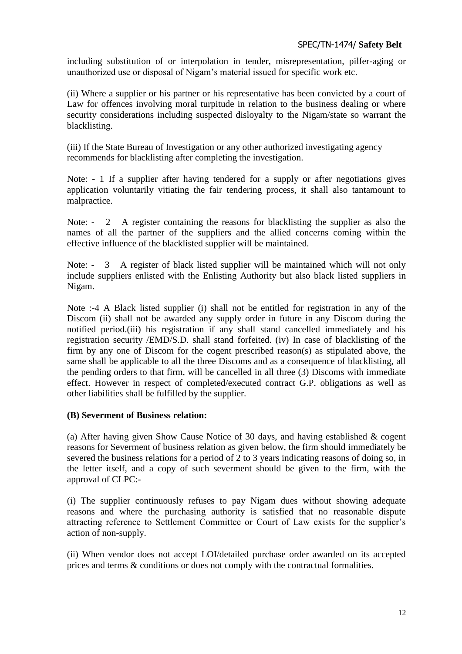including substitution of or interpolation in tender, misrepresentation, pilfer-aging or unauthorized use or disposal of Nigam"s material issued for specific work etc.

(ii) Where a supplier or his partner or his representative has been convicted by a court of Law for offences involving moral turpitude in relation to the business dealing or where security considerations including suspected disloyalty to the Nigam/state so warrant the blacklisting.

(iii) If the State Bureau of Investigation or any other authorized investigating agency recommends for blacklisting after completing the investigation.

Note: - 1 If a supplier after having tendered for a supply or after negotiations gives application voluntarily vitiating the fair tendering process, it shall also tantamount to malpractice.

Note: - 2 A register containing the reasons for blacklisting the supplier as also the names of all the partner of the suppliers and the allied concerns coming within the effective influence of the blacklisted supplier will be maintained.

Note: - 3 A register of black listed supplier will be maintained which will not only include suppliers enlisted with the Enlisting Authority but also black listed suppliers in Nigam.

Note :-4 A Black listed supplier (i) shall not be entitled for registration in any of the Discom (ii) shall not be awarded any supply order in future in any Discom during the notified period.(iii) his registration if any shall stand cancelled immediately and his registration security /EMD/S.D. shall stand forfeited. (iv) In case of blacklisting of the firm by any one of Discom for the cogent prescribed reason(s) as stipulated above, the same shall be applicable to all the three Discoms and as a consequence of blacklisting, all the pending orders to that firm, will be cancelled in all three (3) Discoms with immediate effect. However in respect of completed/executed contract G.P. obligations as well as other liabilities shall be fulfilled by the supplier.

## **(B) Severment of Business relation:**

(a) After having given Show Cause Notice of 30 days, and having established & cogent reasons for Severment of business relation as given below, the firm should immediately be severed the business relations for a period of 2 to 3 years indicating reasons of doing so, in the letter itself, and a copy of such severment should be given to the firm, with the approval of CLPC:-

(i) The supplier continuously refuses to pay Nigam dues without showing adequate reasons and where the purchasing authority is satisfied that no reasonable dispute attracting reference to Settlement Committee or Court of Law exists for the supplier"s action of non-supply.

(ii) When vendor does not accept LOI/detailed purchase order awarded on its accepted prices and terms & conditions or does not comply with the contractual formalities.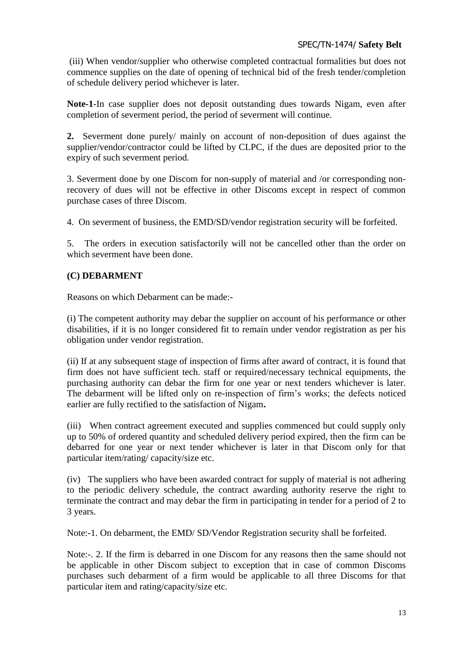(iii) When vendor/supplier who otherwise completed contractual formalities but does not commence supplies on the date of opening of technical bid of the fresh tender/completion of schedule delivery period whichever is later.

**Note-1**-In case supplier does not deposit outstanding dues towards Nigam, even after completion of severment period, the period of severment will continue.

**2.** Severment done purely/ mainly on account of non-deposition of dues against the supplier/vendor/contractor could be lifted by CLPC, if the dues are deposited prior to the expiry of such severment period.

3. Severment done by one Discom for non-supply of material and /or corresponding nonrecovery of dues will not be effective in other Discoms except in respect of common purchase cases of three Discom.

4. On severment of business, the EMD/SD/vendor registration security will be forfeited.

5. The orders in execution satisfactorily will not be cancelled other than the order on which severment have been done.

## **(C) DEBARMENT**

Reasons on which Debarment can be made:-

(i) The competent authority may debar the supplier on account of his performance or other disabilities, if it is no longer considered fit to remain under vendor registration as per his obligation under vendor registration.

(ii) If at any subsequent stage of inspection of firms after award of contract, it is found that firm does not have sufficient tech. staff or required/necessary technical equipments, the purchasing authority can debar the firm for one year or next tenders whichever is later. The debarment will be lifted only on re-inspection of firm"s works; the defects noticed earlier are fully rectified to the satisfaction of Nigam**.**

(iii) When contract agreement executed and supplies commenced but could supply only up to 50% of ordered quantity and scheduled delivery period expired, then the firm can be debarred for one year or next tender whichever is later in that Discom only for that particular item/rating/ capacity/size etc.

(iv) The suppliers who have been awarded contract for supply of material is not adhering to the periodic delivery schedule, the contract awarding authority reserve the right to terminate the contract and may debar the firm in participating in tender for a period of 2 to 3 years.

Note:-1. On debarment, the EMD/ SD/Vendor Registration security shall be forfeited.

Note:-. 2. If the firm is debarred in one Discom for any reasons then the same should not be applicable in other Discom subject to exception that in case of common Discoms purchases such debarment of a firm would be applicable to all three Discoms for that particular item and rating/capacity/size etc.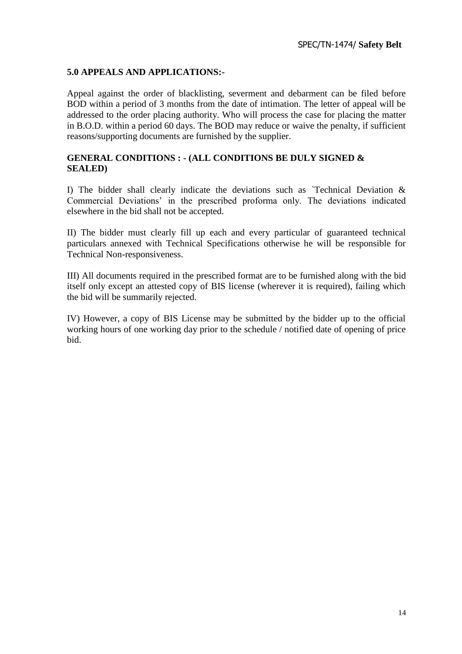## **5.0 APPEALS AND APPLICATIONS:-**

Appeal against the order of blacklisting, severment and debarment can be filed before BOD within a period of 3 months from the date of intimation. The letter of appeal will be addressed to the order placing authority. Who will process the case for placing the matter in B.O.D. within a period 60 days. The BOD may reduce or waive the penalty, if sufficient reasons/supporting documents are furnished by the supplier.

## **GENERAL CONDITIONS : - (ALL CONDITIONS BE DULY SIGNED & SEALED)**

I) The bidder shall clearly indicate the deviations such as 'Technical Deviation  $\&$ Commercial Deviations" in the prescribed proforma only. The deviations indicated elsewhere in the bid shall not be accepted.

II) The bidder must clearly fill up each and every particular of guaranteed technical particulars annexed with Technical Specifications otherwise he will be responsible for Technical Non-responsiveness.

III) All documents required in the prescribed format are to be furnished along with the bid itself only except an attested copy of BIS license (wherever it is required), failing which the bid will be summarily rejected.

IV) However, a copy of BIS License may be submitted by the bidder up to the official working hours of one working day prior to the schedule / notified date of opening of price bid.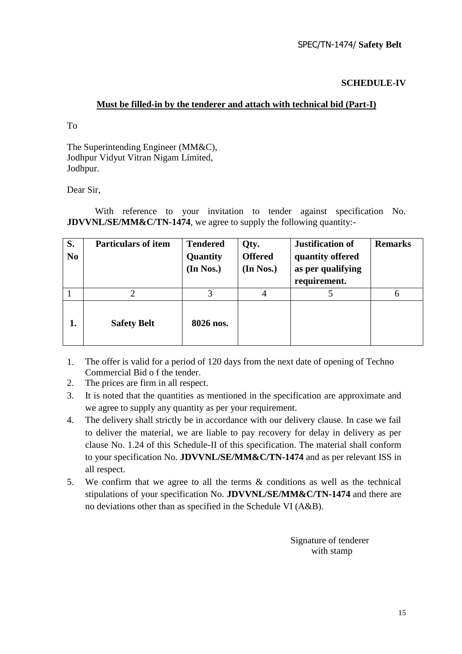**SCHEDULE-IV** 

## **Must be filled-in by the tenderer and attach with technical bid (Part-I)**

To

The Superintending Engineer (MM&C), Jodhpur Vidyut Vitran Nigam Limited, Jodhpur.

Dear Sir,

With reference to your invitation to tender against specification No. **JDVVNL/SE/MM&C/TN-1474**, we agree to supply the following quantity:-

| S.<br>N <sub>0</sub> | <b>Particulars of item</b> | <b>Tendered</b><br>Quantity<br>(In Nos.) | Qty.<br><b>Offered</b><br>(In Nos.) | <b>Justification of</b><br>quantity offered<br>as per qualifying<br>requirement. | <b>Remarks</b> |
|----------------------|----------------------------|------------------------------------------|-------------------------------------|----------------------------------------------------------------------------------|----------------|
|                      |                            | 3                                        | 4                                   |                                                                                  | 6              |
| 1.                   | <b>Safety Belt</b>         | 8026 nos.                                |                                     |                                                                                  |                |

- 1. The offer is valid for a period of 120 days from the next date of opening of Techno Commercial Bid o f the tender.
- 2. The prices are firm in all respect.
- 3. It is noted that the quantities as mentioned in the specification are approximate and we agree to supply any quantity as per your requirement.
- 4. The delivery shall strictly be in accordance with our delivery clause. In case we fail to deliver the material, we are liable to pay recovery for delay in delivery as per clause No. 1.24 of this Schedule-II of this specification. The material shall conform to your specification No. **JDVVNL/SE/MM&C/TN-1474** and as per relevant ISS in all respect.
- 5. We confirm that we agree to all the terms  $\&$  conditions as well as the technical stipulations of your specification No. **JDVVNL/SE/MM&C/TN-1474** and there are no deviations other than as specified in the Schedule VI (A&B).

 Signature of tenderer with stamp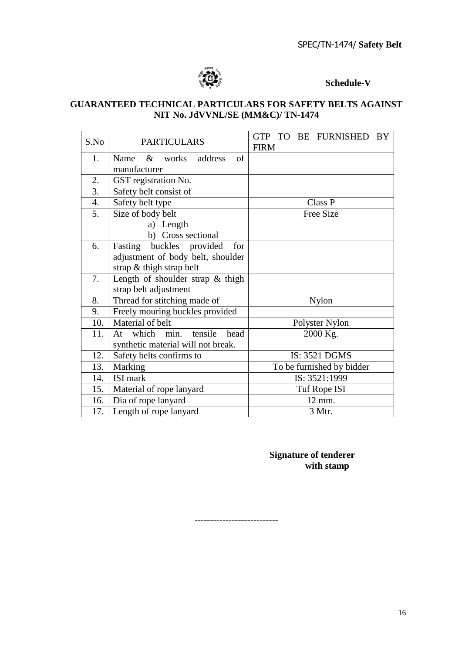

**Schedule-V**

## **GUARANTEED TECHNICAL PARTICULARS FOR SAFETY BELTS AGAINST NIT No. JdVVNL/SE (MM&C)/ TN-1474**

| S.No | <b>PARTICULARS</b>                  | GTP TO BE FURNISHED<br>BY<br><b>FIRM</b> |  |  |
|------|-------------------------------------|------------------------------------------|--|--|
| 1.   | Name<br>& works<br>address<br>of    |                                          |  |  |
|      | manufacturer                        |                                          |  |  |
| 2.   | GST registration No.                |                                          |  |  |
| 3.   | Safety belt consist of              |                                          |  |  |
| 4.   | Safety belt type                    | Class P                                  |  |  |
| 5.   | Size of body belt                   | <b>Free Size</b>                         |  |  |
|      | a) Length                           |                                          |  |  |
|      | b) Cross sectional                  |                                          |  |  |
| 6.   | buckles provided<br>for<br>Fasting  |                                          |  |  |
|      | adjustment of body belt, shoulder   |                                          |  |  |
|      | strap & thigh strap belt            |                                          |  |  |
| 7.   | Length of shoulder strap & thigh    |                                          |  |  |
|      | strap belt adjustment               |                                          |  |  |
| 8.   | Thread for stitching made of        | <b>Nylon</b>                             |  |  |
| 9.   | Freely mouring buckles provided     |                                          |  |  |
| 10.  | Material of belt                    | Polyster Nylon                           |  |  |
| 11.  | which min.<br>tensile<br>head<br>At | 2000 Kg.                                 |  |  |
|      | synthetic material will not break.  |                                          |  |  |
| 12.  | Safety belts confirms to            | <b>IS: 3521 DGMS</b>                     |  |  |
| 13.  | Marking                             | To be furnished by bidder                |  |  |
| 14.  | ISI mark                            | IS: 3521:1999                            |  |  |
| 15.  | Material of rope lanyard            | Tuf Rope ISI                             |  |  |
| 16.  | Dia of rope lanyard                 | 12 mm.                                   |  |  |
| 17.  | Length of rope lanyard              | 3 Mtr.                                   |  |  |

## **Signature of tenderer with stamp**

**---------------------------**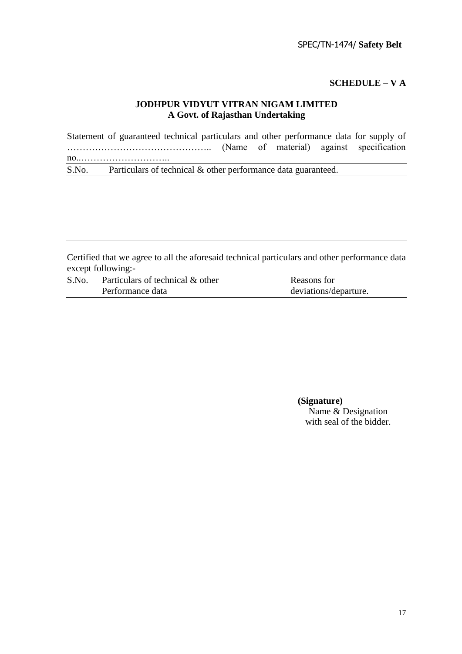#### **SCHEDULE – V A**

## **JODHPUR VIDYUT VITRAN NIGAM LIMITED A Govt. of Rajasthan Undertaking**

Statement of guaranteed technical particulars and other performance data for supply of ……………………………………….. (Name of material) against specification no..……………………….. S.No. Particulars of technical & other performance data guaranteed.

Certified that we agree to all the aforesaid technical particulars and other performance data except following:-

| S.No. | Particulars of technical & other | Reasons for           |
|-------|----------------------------------|-----------------------|
|       | Performance data                 | deviations/departure. |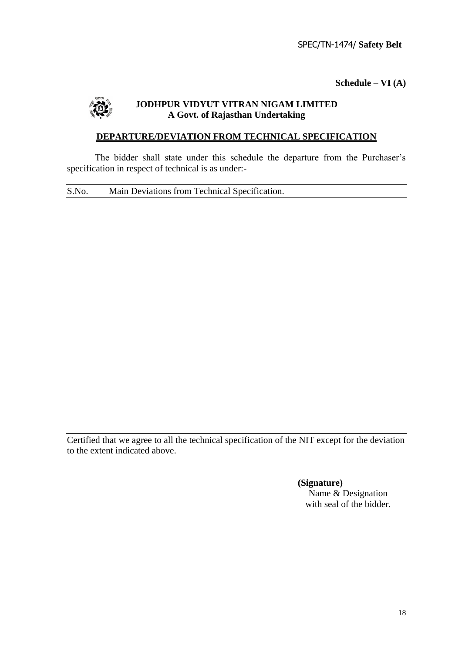**Schedule – VI (A)**



## **JODHPUR VIDYUT VITRAN NIGAM LIMITED A Govt. of Rajasthan Undertaking**

## **DEPARTURE/DEVIATION FROM TECHNICAL SPECIFICATION**

The bidder shall state under this schedule the departure from the Purchaser's specification in respect of technical is as under:-

S.No. Main Deviations from Technical Specification.

Certified that we agree to all the technical specification of the NIT except for the deviation to the extent indicated above.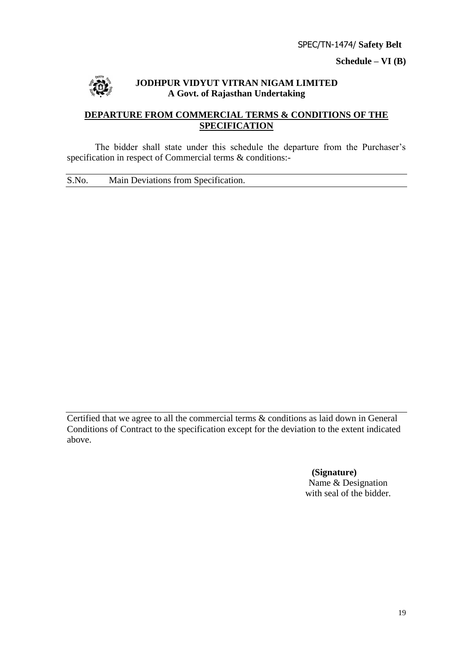**Schedule – VI (B)**



## **JODHPUR VIDYUT VITRAN NIGAM LIMITED A Govt. of Rajasthan Undertaking**

## **DEPARTURE FROM COMMERCIAL TERMS & CONDITIONS OF THE SPECIFICATION**

The bidder shall state under this schedule the departure from the Purchaser's specification in respect of Commercial terms & conditions:-

S.No. Main Deviations from Specification.

Certified that we agree to all the commercial terms & conditions as laid down in General Conditions of Contract to the specification except for the deviation to the extent indicated above.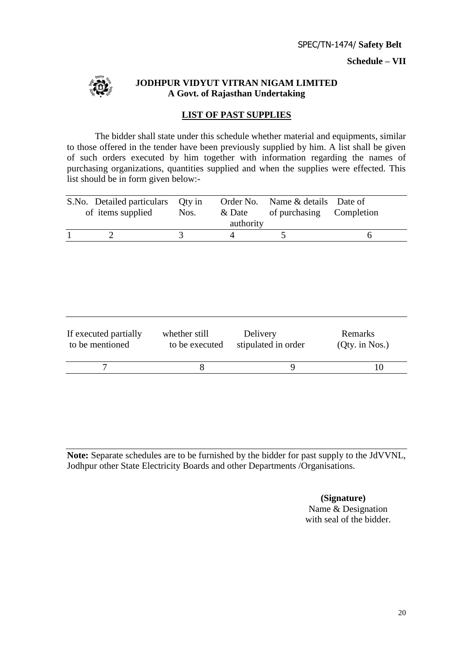**Schedule – VII**



## **JODHPUR VIDYUT VITRAN NIGAM LIMITED A Govt. of Rajasthan Undertaking**

## **LIST OF PAST SUPPLIES**

The bidder shall state under this schedule whether material and equipments, similar to those offered in the tender have been previously supplied by him. A list shall be given of such orders executed by him together with information regarding the names of purchasing organizations, quantities supplied and when the supplies were effected. This list should be in form given below:-

| S.No. Detailed particulars<br>of items supplied | Qty in<br>Nos.                  | Order No.<br>& Date<br>authority | Name & details Date of<br>of purchasing | Completion                  |
|-------------------------------------------------|---------------------------------|----------------------------------|-----------------------------------------|-----------------------------|
| $\overline{2}$                                  | 3                               | $\overline{4}$                   | 5                                       | 6                           |
| If executed partially<br>to be mentioned        | whether still<br>to be executed | Delivery                         | stipulated in order                     | Remarks<br>$(Qty.$ in Nos.) |
| $\overline{7}$                                  | 8                               |                                  | 9                                       | 10                          |

**Note:** Separate schedules are to be furnished by the bidder for past supply to the JdVVNL, Jodhpur other State Electricity Boards and other Departments /Organisations.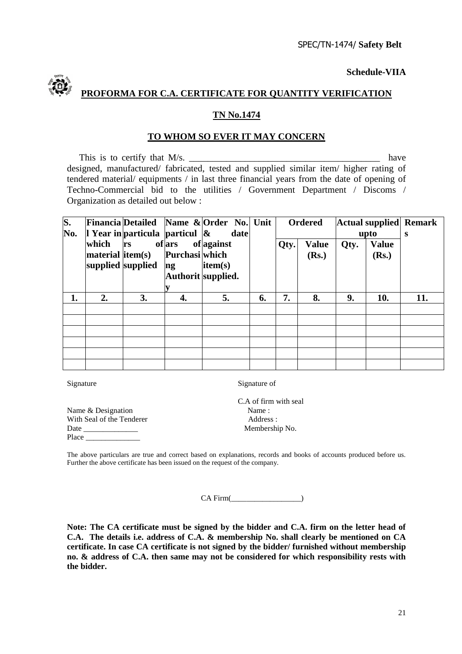**Schedule-VIIA**



# **PROFORMA FOR C.A. CERTIFICATE FOR QUANTITY VERIFICATION**

#### **TN No.1474**

#### **TO WHOM SO EVER IT MAY CONCERN**

This is to certify that  $M/s$ . designed, manufactured/ fabricated, tested and supplied similar item/ higher rating of tendered material/ equipments / in last three financial years from the date of opening of Techno-Commercial bid to the utilities / Government Department / Discoms / Organization as detailed out below :

| S.  |                      |                                   |                | Financia Detailed Name & Order No. Unit |    |      | <b>Ordered</b> |      | Actual supplied | <b>Remark</b> |
|-----|----------------------|-----------------------------------|----------------|-----------------------------------------|----|------|----------------|------|-----------------|---------------|
| No. |                      | 1 Year in particula particul $\&$ |                | date                                    |    |      |                |      | upto            | S             |
|     | which                | <b>rs</b>                         | ofars          | of against                              |    | Qty. | <b>Value</b>   | Qty. | <b>Value</b>    |               |
|     | $ material $ item(s) |                                   | Purchasi which |                                         |    |      | (Rs.)          |      | (Rs.)           |               |
|     | supplied supplied    |                                   | ng             | item(s)                                 |    |      |                |      |                 |               |
|     |                      |                                   |                | Authorit supplied.                      |    |      |                |      |                 |               |
|     |                      |                                   |                |                                         |    |      |                |      |                 |               |
| 1.  | 2.                   | 3.                                | 4.             | 5.                                      | 6. | 7.   | 8.             | 9.   | 10.             | 11.           |
|     |                      |                                   |                |                                         |    |      |                |      |                 |               |
|     |                      |                                   |                |                                         |    |      |                |      |                 |               |
|     |                      |                                   |                |                                         |    |      |                |      |                 |               |
|     |                      |                                   |                |                                         |    |      |                |      |                 |               |
|     |                      |                                   |                |                                         |    |      |                |      |                 |               |
|     |                      |                                   |                |                                         |    |      |                |      |                 |               |

Signature Signature of

Name & Designation Name : With Seal of the Tenderer Address : Date \_\_\_\_\_\_\_\_\_\_\_\_\_\_ Membership No. Place \_\_\_\_\_\_\_\_\_\_\_\_\_\_

C.A of firm with seal

The above particulars are true and correct based on explanations, records and books of accounts produced before us. Further the above certificate has been issued on the request of the company.

CA Firm(\_\_\_\_\_\_\_\_\_\_\_\_\_\_\_\_\_\_)

**Note: The CA certificate must be signed by the bidder and C.A. firm on the letter head of C.A. The details i.e. address of C.A. & membership No. shall clearly be mentioned on CA certificate. In case CA certificate is not signed by the bidder/ furnished without membership no. & address of C.A. then same may not be considered for which responsibility rests with the bidder.**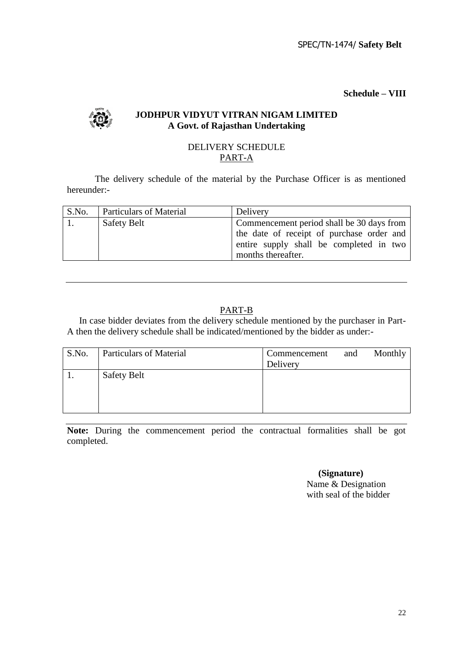**Schedule – VIII**



## **JODHPUR VIDYUT VITRAN NIGAM LIMITED A Govt. of Rajasthan Undertaking**

## DELIVERY SCHEDULE PART-A

The delivery schedule of the material by the Purchase Officer is as mentioned hereunder:-

| S.No. | <b>Particulars of Material</b> | Delivery                                                                                                   |
|-------|--------------------------------|------------------------------------------------------------------------------------------------------------|
|       | <b>Safety Belt</b>             | Commencement period shall be 30 days from                                                                  |
|       |                                | the date of receipt of purchase order and<br>entire supply shall be completed in two<br>months thereafter. |

## PART-B

In case bidder deviates from the delivery schedule mentioned by the purchaser in Part-A then the delivery schedule shall be indicated/mentioned by the bidder as under:-

| S.No. | <b>Particulars of Material</b> | Commencement<br>Delivery | and | Monthly |
|-------|--------------------------------|--------------------------|-----|---------|
|       | <b>Safety Belt</b>             |                          |     |         |

**Note:** During the commencement period the contractual formalities shall be got completed.

> **(Signature)** Name & Designation

with seal of the bidder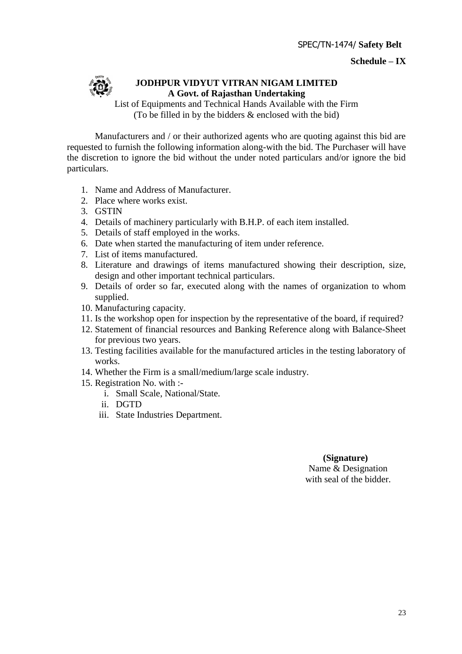#### **Schedule – IX**



## **JODHPUR VIDYUT VITRAN NIGAM LIMITED A Govt. of Rajasthan Undertaking**

List of Equipments and Technical Hands Available with the Firm (To be filled in by the bidders & enclosed with the bid)

Manufacturers and / or their authorized agents who are quoting against this bid are requested to furnish the following information along-with the bid. The Purchaser will have the discretion to ignore the bid without the under noted particulars and/or ignore the bid particulars.

- 1. Name and Address of Manufacturer.
- 2. Place where works exist.
- 3. GSTIN
- 4. Details of machinery particularly with B.H.P. of each item installed.
- 5. Details of staff employed in the works.
- 6. Date when started the manufacturing of item under reference.
- 7. List of items manufactured.
- 8. Literature and drawings of items manufactured showing their description, size, design and other important technical particulars.
- 9. Details of order so far, executed along with the names of organization to whom supplied.
- 10. Manufacturing capacity.
- 11. Is the workshop open for inspection by the representative of the board, if required?
- 12. Statement of financial resources and Banking Reference along with Balance-Sheet for previous two years.
- 13. Testing facilities available for the manufactured articles in the testing laboratory of works.
- 14. Whether the Firm is a small/medium/large scale industry.
- 15. Registration No. with :
	- i. Small Scale, National/State.
	- ii. DGTD
	- iii. State Industries Department.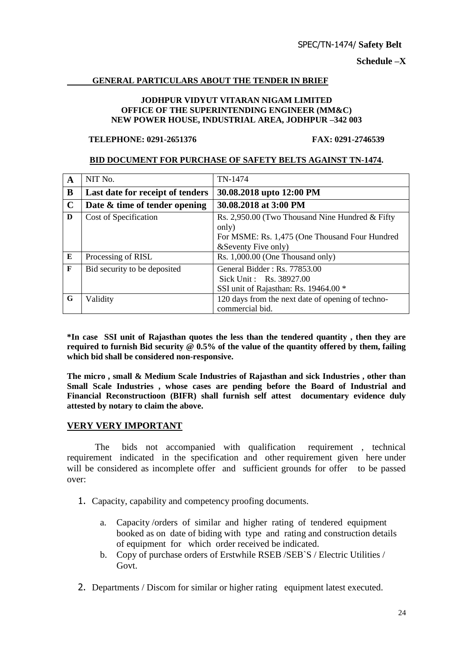**Schedule –X**

## **GENERAL PARTICULARS ABOUT THE TENDER IN BRIEF**

#### **JODHPUR VIDYUT VITARAN NIGAM LIMITED OFFICE OF THE SUPERINTENDING ENGINEER (MM&C) NEW POWER HOUSE, INDUSTRIAL AREA, JODHPUR –342 003**

## **TELEPHONE: 0291-2651376 FAX: 0291-2746539**

## **BID DOCUMENT FOR PURCHASE OF SAFETY BELTS AGAINST TN-1474.**

| $\mathbf A$ | NIT No.                          | TN-1474                                                                                            |  |
|-------------|----------------------------------|----------------------------------------------------------------------------------------------------|--|
| B           | Last date for receipt of tenders | 30.08.2018 upto 12:00 PM                                                                           |  |
| $\mathbf C$ | Date & time of tender opening    | 30.08.2018 at 3:00 PM                                                                              |  |
| D           | Cost of Specification            | Rs. 2,950.00 (Two Thousand Nine Hundred & Fifty)<br>only)                                          |  |
|             |                                  | For MSME: Rs. 1,475 (One Thousand Four Hundred<br>&Seventy Five only)                              |  |
| E           | Processing of RISL               | Rs. 1,000.00 (One Thousand only)                                                                   |  |
| F           | Bid security to be deposited     | General Bidder: $Rs. 77853.00$<br>Sick Unit: Rs. 38927.00<br>SSI unit of Rajasthan: Rs. 19464.00 * |  |
| G           | Validity                         | 120 days from the next date of opening of techno-<br>commercial bid.                               |  |

**\*In case SSI unit of Rajasthan quotes the less than the tendered quantity , then they are required to furnish Bid security @ 0.5% of the value of the quantity offered by them, failing which bid shall be considered non-responsive.**

**The micro , small & Medium Scale Industries of Rajasthan and sick Industries , other than Small Scale Industries , whose cases are pending before the Board of Industrial and Financial Reconstructioon (BIFR) shall furnish self attest documentary evidence duly attested by notary to claim the above.**

## **VERY VERY IMPORTANT**

 The bids not accompanied with qualification requirement , technical requirement indicated in the specification and other requirement given here under will be considered as incomplete offer and sufficient grounds for offer to be passed over:

- 1. Capacity, capability and competency proofing documents.
	- a. Capacity /orders of similar and higher rating of tendered equipment booked as on date of biding with type and rating and construction details of equipment for which order received be indicated.
	- b. Copy of purchase orders of Erstwhile RSEB /SEB`S / Electric Utilities / Govt.
- 2. Departments / Discom for similar or higher rating equipment latest executed.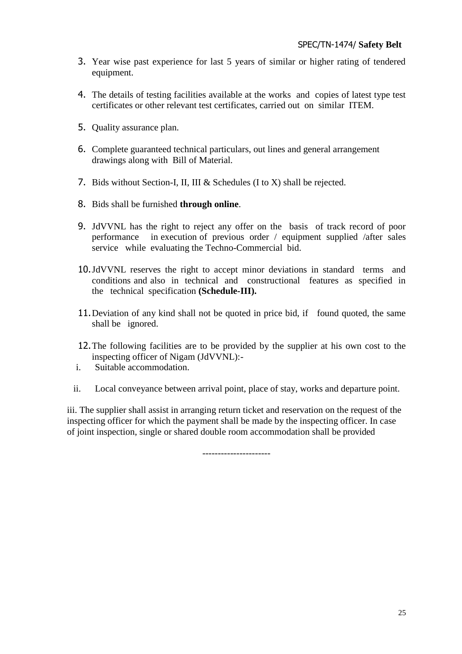- 3. Year wise past experience for last 5 years of similar or higher rating of tendered equipment.
- 4. The details of testing facilities available at the works and copies of latest type test certificates or other relevant test certificates, carried out on similar ITEM.
- 5. Quality assurance plan.
- 6. Complete guaranteed technical particulars, out lines and general arrangement drawings along with Bill of Material.
- 7. Bids without Section-I, II, III & Schedules (I to X) shall be rejected.
- 8. Bids shall be furnished **through online**.
- 9. JdVVNL has the right to reject any offer on the basis of track record of poor performance in execution of previous order / equipment supplied /after sales service while evaluating the Techno-Commercial bid.
- 10.JdVVNL reserves the right to accept minor deviations in standard terms and conditions and also in technical and constructional features as specified in the technical specification **(Schedule-III).**
- 11.Deviation of any kind shall not be quoted in price bid, if found quoted, the same shall be ignored.
- 12.The following facilities are to be provided by the supplier at his own cost to the inspecting officer of Nigam (JdVVNL):-
- i. Suitable accommodation.
- ii. Local conveyance between arrival point, place of stay, works and departure point.

iii. The supplier shall assist in arranging return ticket and reservation on the request of the inspecting officer for which the payment shall be made by the inspecting officer. In case of joint inspection, single or shared double room accommodation shall be provided

----------------------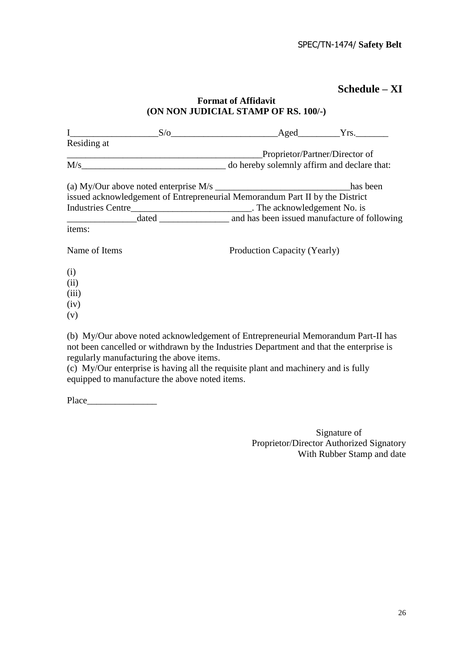# **Schedule – XI**

| (ON NON JUDICIAL STAMP OF RS. 100/-)                                                                                                                                        |                              |                                |  |  |  |
|-----------------------------------------------------------------------------------------------------------------------------------------------------------------------------|------------------------------|--------------------------------|--|--|--|
|                                                                                                                                                                             |                              |                                |  |  |  |
| Residing at                                                                                                                                                                 |                              |                                |  |  |  |
|                                                                                                                                                                             |                              | Proprietor/Partner/Director of |  |  |  |
|                                                                                                                                                                             |                              |                                |  |  |  |
|                                                                                                                                                                             |                              | has been                       |  |  |  |
| issued acknowledgement of Entrepreneurial Memorandum Part II by the District                                                                                                |                              |                                |  |  |  |
|                                                                                                                                                                             |                              |                                |  |  |  |
|                                                                                                                                                                             |                              |                                |  |  |  |
| items:                                                                                                                                                                      |                              |                                |  |  |  |
| Name of Items                                                                                                                                                               | Production Capacity (Yearly) |                                |  |  |  |
| (i)                                                                                                                                                                         |                              |                                |  |  |  |
| (ii)                                                                                                                                                                        |                              |                                |  |  |  |
| (iii)                                                                                                                                                                       |                              |                                |  |  |  |
| (iv)                                                                                                                                                                        |                              |                                |  |  |  |
| (v)                                                                                                                                                                         |                              |                                |  |  |  |
| (b) My/Our above noted acknowledgement of Entrepreneurial Memorandum Part-II has<br>not been cancelled or withdrawn by the Industries Department and that the enterprise is |                              |                                |  |  |  |

**Format of Affidavit**

regularly manufacturing the above items.

(c) My/Our enterprise is having all the requisite plant and machinery and is fully equipped to manufacture the above noted items.

Place\_\_\_\_\_\_\_\_\_\_\_\_\_\_\_

 Signature of Proprietor/Director Authorized Signatory With Rubber Stamp and date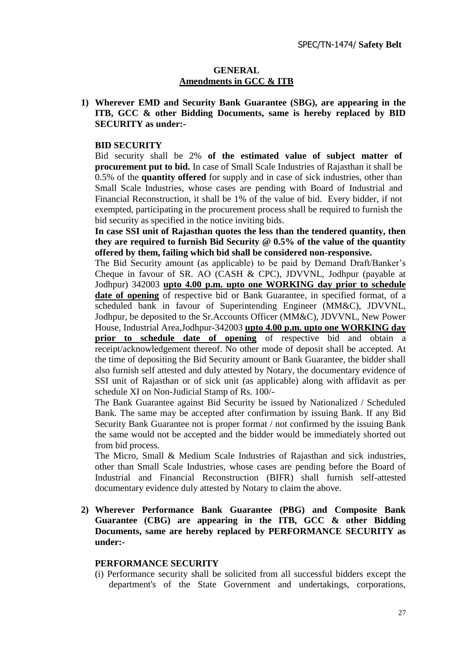#### **GENERAL Amendments in GCC & ITB**

**1) Wherever EMD and Security Bank Guarantee (SBG), are appearing in the ITB, GCC & other Bidding Documents, same is hereby replaced by BID SECURITY as under:-**

#### **BID SECURITY**

Bid security shall be 2% **of the estimated value of subject matter of procurement put to bid.** In case of Small Scale Industries of Rajasthan it shall be 0.5% of the **quantity offered** for supply and in case of sick industries, other than Small Scale Industries, whose cases are pending with Board of Industrial and Financial Reconstruction, it shall be 1% of the value of bid. Every bidder, if not exempted, participating in the procurement process shall be required to furnish the bid security as specified in the notice inviting bids.

**In case SSI unit of Rajasthan quotes the less than the tendered quantity, then they are required to furnish Bid Security @ 0.5% of the value of the quantity offered by them, failing which bid shall be considered non-responsive.** 

The Bid Security amount (as applicable) to be paid by Demand Draft/Banker's Cheque in favour of SR. AO (CASH & CPC), JDVVNL, Jodhpur (payable at Jodhpur) 342003 **upto 4.00 p.m. upto one WORKING day prior to schedule date of opening** of respective bid or Bank Guarantee, in specified format, of a scheduled bank in favour of Superintending Engineer (MM&C), JDVVNL, Jodhpur, be deposited to the Sr.Accounts Officer (MM&C), JDVVNL, New Power House, Industrial Area,Jodhpur-342003 **upto 4.00 p.m. upto one WORKING day prior to schedule date of opening** of respective bid and obtain a receipt/acknowledgement thereof. No other mode of deposit shall be accepted. At the time of depositing the Bid Security amount or Bank Guarantee, the bidder shall also furnish self attested and duly attested by Notary, the documentary evidence of SSI unit of Rajasthan or of sick unit (as applicable) along with affidavit as per schedule XI on Non-Judicial Stamp of Rs. 100/-

The Bank Guarantee against Bid Security be issued by Nationalized / Scheduled Bank. The same may be accepted after confirmation by issuing Bank. If any Bid Security Bank Guarantee not is proper format / not confirmed by the issuing Bank the same would not be accepted and the bidder would be immediately shorted out from bid process.

The Micro, Small & Medium Scale Industries of Rajasthan and sick industries, other than Small Scale Industries, whose cases are pending before the Board of Industrial and Financial Reconstruction (BIFR) shall furnish self-attested documentary evidence duly attested by Notary to claim the above.

**2) Wherever Performance Bank Guarantee (PBG) and Composite Bank Guarantee (CBG) are appearing in the ITB, GCC & other Bidding Documents, same are hereby replaced by PERFORMANCE SECURITY as under:-**

#### **PERFORMANCE SECURITY**

(i) Performance security shall be solicited from all successful bidders except the department's of the State Government and undertakings, corporations,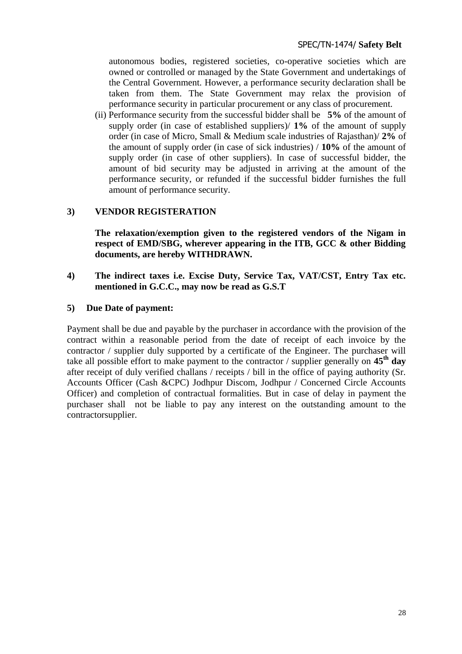autonomous bodies, registered societies, co-operative societies which are owned or controlled or managed by the State Government and undertakings of the Central Government. However, a performance security declaration shall be taken from them. The State Government may relax the provision of performance security in particular procurement or any class of procurement.

(ii) Performance security from the successful bidder shall be **5%** of the amount of supply order (in case of established suppliers)/ **1%** of the amount of supply order (in case of Micro, Small & Medium scale industries of Rajasthan)/ **2%** of the amount of supply order (in case of sick industries) / **10%** of the amount of supply order (in case of other suppliers). In case of successful bidder, the amount of bid security may be adjusted in arriving at the amount of the performance security, or refunded if the successful bidder furnishes the full amount of performance security.

## **3) VENDOR REGISTERATION**

**The relaxation/exemption given to the registered vendors of the Nigam in respect of EMD/SBG, wherever appearing in the ITB, GCC & other Bidding documents, are hereby WITHDRAWN.**

**4) The indirect taxes i.e. Excise Duty, Service Tax, VAT/CST, Entry Tax etc. mentioned in G.C.C., may now be read as G.S.T**

#### **5) Due Date of payment:**

Payment shall be due and payable by the purchaser in accordance with the provision of the contract within a reasonable period from the date of receipt of each invoice by the contractor / supplier duly supported by a certificate of the Engineer. The purchaser will take all possible effort to make payment to the contractor / supplier generally on **45th day** after receipt of duly verified challans / receipts / bill in the office of paying authority (Sr. Accounts Officer (Cash &CPC) Jodhpur Discom, Jodhpur / Concerned Circle Accounts Officer) and completion of contractual formalities. But in case of delay in payment the purchaser shall not be liable to pay any interest on the outstanding amount to the contractorsupplier.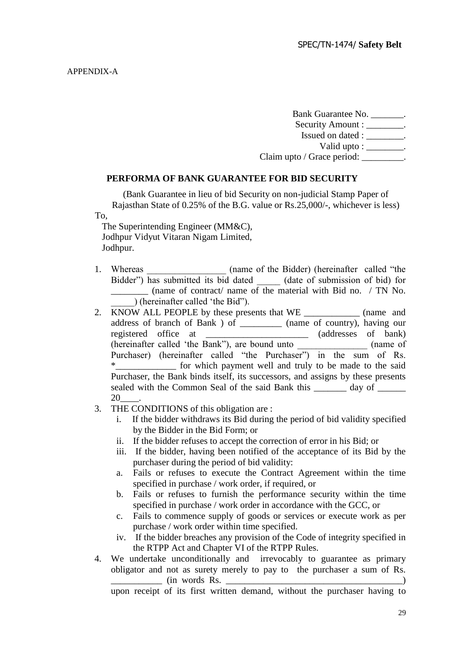Bank Guarantee No. \_\_\_\_\_\_\_. Security Amount :  $\qquad \qquad$ 

Issued on dated : \_\_\_\_\_\_\_\_.

Valid upto : \_\_\_\_\_\_\_\_.

Claim upto / Grace period: \_\_\_\_\_\_\_\_\_\_\_.

#### **PERFORMA OF BANK GUARANTEE FOR BID SECURITY**

(Bank Guarantee in lieu of bid Security on non-judicial Stamp Paper of Rajasthan State of 0.25% of the B.G. value or Rs.25,000/-, whichever is less) To,

 The Superintending Engineer (MM&C), Jodhpur Vidyut Vitaran Nigam Limited, Jodhpur.

- 1. Whereas (name of the Bidder) (hereinafter called "the Bidder") has submitted its bid dated \_\_\_\_\_ (date of submission of bid) for \_\_\_\_\_\_\_\_ (name of contract/ name of the material with Bid no. / TN No. \_\_\_\_\_) (hereinafter called "the Bid").
- 2. KNOW ALL PEOPLE by these presents that WE \_\_\_\_\_\_\_\_\_\_\_\_\_\_\_ (name and address of branch of Bank ) of \_\_\_\_\_\_\_\_\_ (name of country), having our registered office at \_\_\_\_\_\_\_\_\_\_\_\_\_\_\_\_\_\_\_\_\_\_ (addresses of bank) (hereinafter called "the Bank"), are bound unto \_\_\_\_\_\_\_\_\_\_\_\_\_\_\_ (name of Purchaser) (hereinafter called "the Purchaser") in the sum of Rs. \*\_\_\_\_\_\_\_\_\_\_\_\_\_ for which payment well and truly to be made to the said Purchaser, the Bank binds itself, its successors, and assigns by these presents sealed with the Common Seal of the said Bank this day of 20\_\_\_\_.
- 3. THE CONDITIONS of this obligation are :
	- i. If the bidder withdraws its Bid during the period of bid validity specified by the Bidder in the Bid Form; or
	- ii. If the bidder refuses to accept the correction of error in his Bid; or
	- iii. If the bidder, having been notified of the acceptance of its Bid by the purchaser during the period of bid validity:
	- a. Fails or refuses to execute the Contract Agreement within the time specified in purchase / work order, if required, or
	- b. Fails or refuses to furnish the performance security within the time specified in purchase / work order in accordance with the GCC, or
	- c. Fails to commence supply of goods or services or execute work as per purchase / work order within time specified.
	- iv. If the bidder breaches any provision of the Code of integrity specified in the RTPP Act and Chapter VI of the RTPP Rules.
- 4. We undertake unconditionally and irrevocably to guarantee as primary obligator and not as surety merely to pay to the purchaser a sum of Rs.  $\frac{1}{2}$  (in words Rs.  $\frac{1}{2}$  )

upon receipt of its first written demand, without the purchaser having to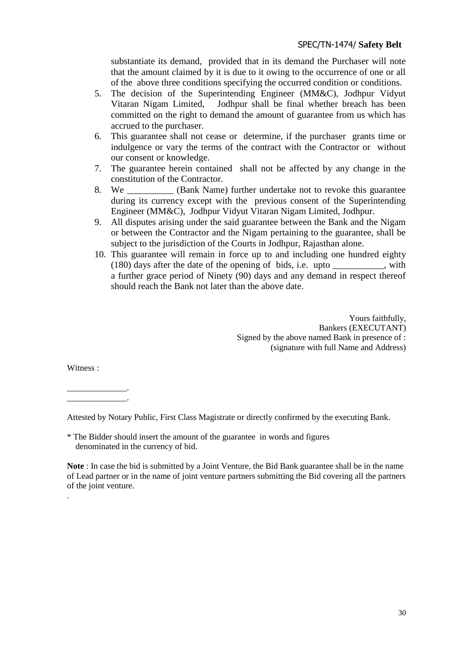substantiate its demand, provided that in its demand the Purchaser will note that the amount claimed by it is due to it owing to the occurrence of one or all of the above three conditions specifying the occurred condition or conditions.

- 5. The decision of the Superintending Engineer (MM&C), Jodhpur Vidyut Vitaran Nigam Limited, Jodhpur shall be final whether breach has been committed on the right to demand the amount of guarantee from us which has accrued to the purchaser.
- 6. This guarantee shall not cease or determine, if the purchaser grants time or indulgence or vary the terms of the contract with the Contractor or without our consent or knowledge.
- 7. The guarantee herein contained shall not be affected by any change in the constitution of the Contractor.
- 8. We \_\_\_\_\_\_\_\_\_\_ (Bank Name) further undertake not to revoke this guarantee during its currency except with the previous consent of the Superintending Engineer (MM&C), Jodhpur Vidyut Vitaran Nigam Limited, Jodhpur.
- 9. All disputes arising under the said guarantee between the Bank and the Nigam or between the Contractor and the Nigam pertaining to the guarantee, shall be subject to the jurisdiction of the Courts in Jodhpur, Rajasthan alone.
- 10. This guarantee will remain in force up to and including one hundred eighty (180) days after the date of the opening of bids, i.e. upto \_\_\_\_\_\_\_\_\_\_\_, with a further grace period of Ninety (90) days and any demand in respect thereof should reach the Bank not later than the above date.

Yours faithfully, Bankers (EXECUTANT) Signed by the above named Bank in presence of : (signature with full Name and Address)

Witness :

.

 $\overline{\phantom{a}}$  , and the set of the set of the set of the set of the set of the set of the set of the set of the set of the set of the set of the set of the set of the set of the set of the set of the set of the set of the s \_\_\_\_\_\_\_\_\_\_\_\_\_\_.

Attested by Notary Public, First Class Magistrate or directly confirmed by the executing Bank.

\* The Bidder should insert the amount of the guarantee in words and figures denominated in the currency of bid.

**Note** : In case the bid is submitted by a Joint Venture, the Bid Bank guarantee shall be in the name of Lead partner or in the name of joint venture partners submitting the Bid covering all the partners of the joint venture.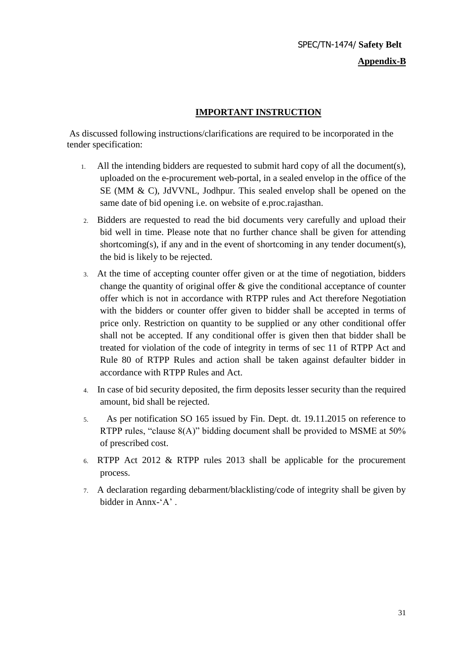## **Appendix-B**

## **IMPORTANT INSTRUCTION**

As discussed following instructions/clarifications are required to be incorporated in the tender specification:

- 1. All the intending bidders are requested to submit hard copy of all the document(s), uploaded on the e-procurement web-portal, in a sealed envelop in the office of the SE (MM & C), JdVVNL, Jodhpur. This sealed envelop shall be opened on the same date of bid opening i.e. on website of e.proc.rajasthan.
- 2. Bidders are requested to read the bid documents very carefully and upload their bid well in time. Please note that no further chance shall be given for attending shortcoming(s), if any and in the event of shortcoming in any tender document(s), the bid is likely to be rejected.
- 3. At the time of accepting counter offer given or at the time of negotiation, bidders change the quantity of original offer  $\&$  give the conditional acceptance of counter offer which is not in accordance with RTPP rules and Act therefore Negotiation with the bidders or counter offer given to bidder shall be accepted in terms of price only. Restriction on quantity to be supplied or any other conditional offer shall not be accepted. If any conditional offer is given then that bidder shall be treated for violation of the code of integrity in terms of sec 11 of RTPP Act and Rule 80 of RTPP Rules and action shall be taken against defaulter bidder in accordance with RTPP Rules and Act.
- 4. In case of bid security deposited, the firm deposits lesser security than the required amount, bid shall be rejected.
- 5. As per notification SO 165 issued by Fin. Dept. dt. 19.11.2015 on reference to RTPP rules, "clause 8(A)" bidding document shall be provided to MSME at 50% of prescribed cost.
- 6. RTPP Act 2012 & RTPP rules 2013 shall be applicable for the procurement process.
- 7. A declaration regarding debarment/blacklisting/code of integrity shall be given by bidder in Annx-'A'.